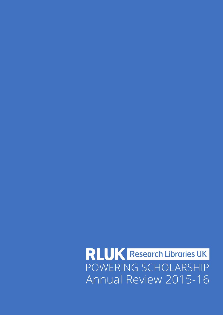RLUK Research Libraries UK POWERING SCHOLARSHIPAnnual Review 2015-16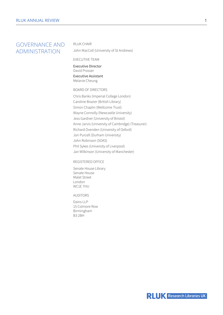# GOVERNANCE AND ADMINISTRATION

#### RLUK CHAIR

John MacColl (University of St Andrews)

#### EXECUTIVE TEAM

Executive Director David Prosser Executive Assistant Melanie Cheung

#### BOARD OF DIRECTORS

Chris Banks (Imperial College London) Caroline Brazier (British Library) Simon Chaplin (Wellcome Trust) Wayne Connolly (Newcastle University) Jess Gardner (University of Bristol) Anne Jarvis (University of Cambridge) (Treasurer) Richard Ovenden (University of Oxford) Jon Purcell (Durham University) John Robinson (SOAS) Phil Sykes (University of Liverpool) Jan Wilkinson (University of Manchester)

#### REGISTERED OFFICE

Senate House Library Senate House Malet Street London WC1E 7HU

#### AUDITORS

Dains LLP 15 Colmore Row Birmingham B3 2BH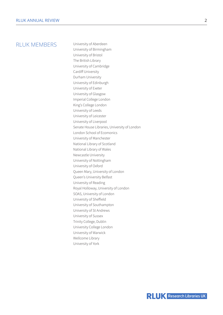## RI UK MEMBERS University of Aberdeen

University of Birmingham University of Bristol The British Library University of Cambridge Cardiff University Durham University University of Edinburgh University of Exeter University of Glasgow Imperial College London King's College London University of Leeds University of Leicester University of Liverpool Senate House Libraries, University of London London School of Ecomonics University of Manchester National Library of Scotland National Library of Wales Newcastle University University of Nottingham University of Oxford Queen Mary, University of London Queen's University Belfast University of Reading Royal Holloway, University of London SOAS, University of London University of Sheffield University of Southampton University of St Andrews University of Sussex Trinity College, Dublin University College London University of Warwick Wellcome Library University of York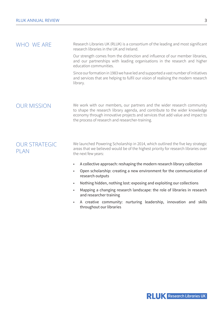$WHO$  WF ARF Research Libraries UK (RLUK) is a consortium of the leading and most significant research libraries in the UK and Ireland.

> Our strength comes from the distinction and influence of our member libraries, and our partnerships with leading organisations in the research and higher education communities.

> Since our formation in 1983 we have led and supported a vast number of initiatives and services that are helping to fulfil our vision of realising the modern research library.

 $\bigcap$  IR MISSION We work with our members, our partners and the wider research community to shape the research library agenda, and contribute to the wider knowledge economy through innovative projects and services that add value and impact to the process of research and researcher-training.

OUR STRATEGIC PLAN. We launched Powering Scholarship in 2014, which outlined the five key strategic areas that we believed would be of the highest priority for research libraries over the next few years:

- A collective approach: reshaping the modern research library collection
- Open scholarship: creating a new environment for the communication of research outputs
- Nothing hidden, nothing lost: exposing and exploiting our collections
- Mapping a changing research landscape: the role of libraries in research and researcher training
- A creative community: nurturing leadership, innovation and skills throughout our libraries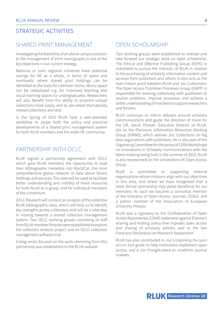# STRATEGIC ACTIVITIES

## SHARED PRINT MANAGEMENT

Investigating the feasibility of an above campus solution to the management of print monographs is one of the key objectives in our current strategy.

National or even regional initiatives have potential savings for HE as a whole, in terms of space and overheads: where shared print holdings can be identified as the basis for common stores, library space can be redeployed e.g. for improved teaching and social learning spaces for undergraduates. Researchers will also benefit from the ability to pinpoint unique collections more easily, and to see where thematically related collections are held.

In the Spring of 2015 RLUK held a well-attended workshop to scope both the policy and practical developments of a shared print management system for both RLUK members and the wider HE community.

### PARTNERSHIP WITH OCLC

RLUK signed a partnership agreement with OCLC which gave RLUK members the opportunity to load their bibliographic metadata into WorldCat, the most comprehensive global network of data about library holdings and services. This data will be used to facilitate better understanding and visibility of these resources for both RLUK as a group, and for individual members of the consortium.

OCLC Research will conduct an analysis of the collective RLUK bibliographic data, which will help us to identify key strengths across collections and will be a vital step in moving towards a shared collection management system. Two OCLC working groups consisting of staff from RLUK member libraries were established to explore the collection analysis project and an OCLC collection management software trial.

A blog series focused on the work stemming from this partnership was established on the RLUK website.

## OPEN SCHOLARSHIP

Two working groups were established to oversee and take forward our strategic work on open scholarship. The Ethical and Effective Publishing Group (EEPG) is mandated to pursue the interests of RLUK in relation to the purchasing of scholarly information content and services from publishers and others. It also acts as the main liaison point between RLUK and Jisc Collections. The Open Access Publisher Processes Group (OAPP) is responsible for working collectively with publishers to resolve problems, improve processes and achieve a better understanding of how best to support researchers and funders.

RLUK continues to inform debates around scholarly communications and guide the direction of travel for the UK. David Prosser, Executive Director of RLUK, sits on the Electronic Information Resources Working Group (EIRWG), which advises Jisc Collections on big deal negotiations with publishers. He is also part of the Organising Committee for the series of CERN Workshops on Innovations in Scholarly Communications with the latest meeting being held in the summer of 2015. RLUK is also represented on the Universities UK Open Access Group.

RLUK is committed to supporting external organisations whose missions align with our objectives in this area, and where we have recognised that a more formal partnership may prove beneficial for our members. As such we became a consortial member of the Directory of Open Access Journals (DOAJ) and a patron member of the Association of European University Presses.

RLUK was a signatory to the Confederation of Open Access Repositories (COAR) statement against Elsevier's sharing and hosting policy that impedes open access and sharing of scholarly articles, and to the San Francisco Declaration on Research Assessment.

RLUK has also contributed to Jisc's *Unpicking the open access lock* guide to help institutions implement open access, and a Jisc thought-piece on academic journal markets.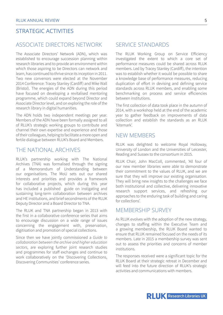# STRATEGIC ACTIVITIES

## ASSOCIATE DIRECTORS NETWORK

The Associate Directors' Network (ADN), which was established to encourage succession planning within research libraries and to provide an environment within which those aspiring to be Directors can network and learn, has continued to thrive since its inception in 2011. Two new convenors were elected at the November 2014 Conference: Tracey Stanley (Cardiff) and Mike Wall (Bristol). The energies of the ADN during this period have focused on developing a revitalised mentoring programme, which could expand beyond Director and Associate Director level, and on exploring the role of the research library in digital humanities.

The ADN holds two independent meetings per year. Members of the ADN have been formally assigned to all of RLUK's strategic working groups to contribute and channel their own expertise and experience and those of their colleagues, helping to facilitate a more open and fertile dialogue between RLUK's Board and Members.

## THE NATIONAL ARCHIVES

RLUK's partnership working with The National Archives (TNA) was formalised through the signing of a Memorandum of Understanding between our organisations. The MoU sets out our shared interests and priorities and provides a framework for collaborative projects, which during this year has included a published guide on instigating and sustaining long-term collaboration between archives and HE institutions, and brief secondments of the RLUK Deputy Director and a Board Director to TNA.

The RLUK and TNA partnership began in 2013 with the first in a collaborative conference series that aims to encourage discussion on a wide range of issues concerning the engagement with, preservation, digitisation and promotion of special collections.

Since then we have jointly commissioned a *Guide to collaboration between the archive and higher education sectors*, are exploring further joint research studies and programmes for staff exchanges and continue to work collaboratively on the 'Discovering Collections, Discovering Communities' conference series.

### SERVICE STANDARDS

The RLUK Working Group on Service Efficiency investigated the extent to which a core set of performance measures could be shared across RLUK members. Led by Tracey Stanley (Cardiff), the intention was to establish whether it would be possible to share a knowledge base of performance measures, reducing duplication of effort in devising and defining service standards across RLUK members, and enabling some benchmarking on process and service efficiencies between institutions.

The first collection of data took place in the autumn of 2014, with a workshop held at the end of the academic year to gather feedback on improvements of data collection and establish the standards as an RLUK 'kitemark'.

### NEW MEMBERS

RLUK was delighted to welcome Royal Holloway, University of London and the Universities of Leicester, Reading and Sussex to the consortium in 2015.

RLUK Chair, John MacColl, commented, 'All four of our new member libraries were able to demonstrate their commitment to the values of RLUK, and we are sure that they will improve our existing organisation. They will bring new insights to the challenges we face both institutional and collective, delivering innovative research support services, and refreshing our approaches to the enduring task of building and caring for collections'.

### MEMBERSHIP SURVEY

As RLUK evolves with the adoption of the new strategy, changes to staffing within the Executive Team and a growing membership, the RLUK Board wanted to ensure that RLUK remained focused on the needs of its members. Late in 2015 a membership survey was sent out to assess the priorities and concerns of member institutions.

The responses received were a significant topic for the RLUK Board at their strategic retreat in December and will feed into the future direction of RLUK's strategic activities and communications with members.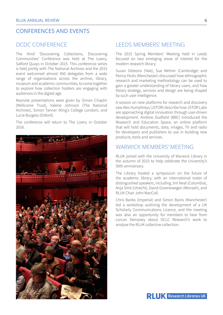## CONFERENCES AND EVENTS

## DCDC CONFERENCE

The third 'Discovering Collections, Discovering Communities' Conference was held at The Lowry, Salford Quays in October 2015. This conference series is held jointly with The National Archives and the 2015 event welcomed almost 450 delegates from a wide range of organisations across the archive, library, museum and academic communities, to come together to explore how collection holders are engaging with audiences in the digital age.

Keynote presentations were given by Simon Chaplin (Wellcome Trust), Valerie Johnson (The National Archives), Simon Tanner (King's College London), and Lucie Burgess (Oxford).

The conference will return to The Lowry in October 2016.



### LEEDS MEMBERS' MEETING

The 2015 Spring Members' Meeting held in Leeds focused on two emerging areas of interest for the modern research library:

Susan Gibbons (Yale), Sue Mehrer (Cambridge) and Penny Hicks (Manchester) discussed how ethnographic research and marketing methodology can be used to gain a greater understanding of library users, and how library strategy, services and design are being shaped by such user intelligence.

A session on new platforms for research and discovery saw Alex Humphreys (JSTOR) describe how JSTOR Labs are approaching digital innovation through user-driven development. Andrew Dudfield (BBC) introduced the Research and Education Space, an online platform that will hold documents, data, images, TV and radio for developers and publishers to use in building new products, tools and services.

### WARWICK MEMBERS' MEETING

RLUK joined with the University of Warwick Library in the autumn of 2015 to help celebrate the University's 50th anniversary.

The Library hosted a symposium on the future of the academic library, with an international roster of distinguished speakers, including Jim Neal (Columbia), Anja Smit (Utrecht), David Groenewegen (Monash), and RLUK Chair John MacColl.

Chris Banks (Imperial) and Simon Bains (Manchester) led a workshop outlining the development of a UK Scholarly Communications Licence, and the meeting was also an opportunity for members to hear from Lorcan Dempsey about OCLC Research's work to analyse the RLUK collective collection.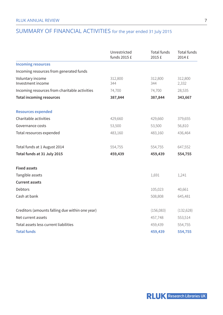# SUMMARY OF FINANCIAL ACTIVITIES for the year ended 31 July 2015

|                                                 | Unrestricted<br>funds 2015 £ | Total funds<br>2015 £ | Total funds<br>2014 £ |
|-------------------------------------------------|------------------------------|-----------------------|-----------------------|
| <b>Incoming resources</b>                       |                              |                       |                       |
| Incoming resources from generated funds         |                              |                       |                       |
| Voluntary income<br>Investment income           | 312,800<br>344               | 312,800<br>344        | 312,800<br>2,332      |
| Incoming resources from charitable activities   | 74,700                       | 74,700                | 28,535                |
| <b>Total incoming resources</b>                 | 387,844                      | 387,844               | 343,667               |
| <b>Resources expended</b>                       |                              |                       |                       |
| Charitable activities                           | 429,660                      | 429,660               | 379,655               |
| Governance costs                                | 53,500                       | 53,500                | 56,810                |
| Total resources expended                        | 483,160                      | 483,160               | 436,464               |
| Total funds at 1 August 2014                    | 554,755                      | 554,755               | 647,552               |
| Total funds at 31 July 2015                     | 459,439                      | 459,439               | 554,755               |
| <b>Fixed assets</b>                             |                              |                       |                       |
| Tangible assets                                 |                              | 1,691                 | 1,241                 |
| <b>Current assets</b>                           |                              |                       |                       |
| Debtors                                         |                              | 105,023               | 40,661                |
| Cash at bank                                    |                              | 508,808               | 645,481               |
| Creditors (amounts falling due within one year) |                              | (156,083)             | (132, 628)            |
| Net current assets                              |                              | 457,748               | 553,514               |
| Total assets less current liabilities           |                              | 459,439               | 554,755               |
| <b>Total funds</b>                              |                              | 459,439               | 554,755               |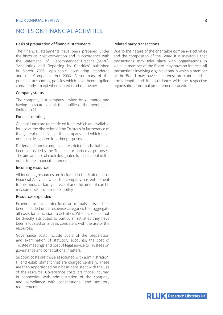## NOTES ON FINANCIAL ACTIVITIES

#### Basis of preparation of financial statements

The financial statements have been prepared under the historical cost convention and in accordance with the Statement of Recommended Practice (SORP), 'Accounting and Reporting by Charities' published in March 2005, applicable accounting standards and the Companies Act 2006. A summary of the principal accounting policies which have been applied consistently, except where noted is set out below.

#### Company status

The company is a company limited by guarantee and having no share capital; the liability of the members is limited to £1

#### Fund accounting

General funds are unrestricted funds which are available for use at the discretion of the Trustees in furtherance of the general objectives of the company and which have not been designated for other purposes.

Designated funds comprise unrestricted funds that have been set aside by the Trustees for particular purposes. The aim and use of each designated fund is set out in the notes to the financial statements.

#### Incoming resources

All incoming resources are included in the Statement of Financial Activities when the company has entitlement to the funds, certainty of receipt and the amount can be measured with sufficient reliability.

#### Resources expended

Expenditure is accounted for on an accruals basis and has been included under expense categories that aggregate all costs for allocation to activities. Where costs cannot be directly attributed to particular activities they have been allocated on a basis consistent with the use of the resources.

Governance costs include costs of the preparation and examination of statutory accounts, the cost of Trustee meetings and cost of legal advice to Trustees on governance and constitutional matters.

Support costs are those associated with administration, IT and establishment that are charged centrally. These are then apportioned on a basis consistent with the use of the resource. Governance costs are those incurred in connection with administration of the company and compliance with constitutional and statutory requirements.

#### Related party transactions

Due to the nature of the charitable company's activities and the compositon of the Board it is inevitable that transactions may take place with organisations in which a member of the Board may have an interest. All transactions involving organisations in which a member of the Board may have an interest are conducted at arm's length and in accordance with the respective organisations' normal procurement procedures.